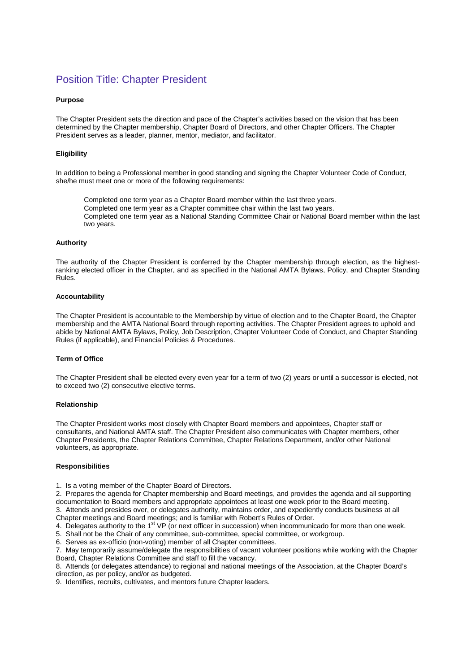# Position Title: Chapter President

# **Purpose**

The Chapter President sets the direction and pace of the Chapter's activities based on the vision that has been determined by the Chapter membership, Chapter Board of Directors, and other Chapter Officers. The Chapter President serves as a leader, planner, mentor, mediator, and facilitator.

### **Eligibility**

In addition to being a Professional member in good standing and signing the Chapter Volunteer Code of Conduct, she/he must meet one or more of the following requirements:

Completed one term year as a Chapter Board member within the last three years. Completed one term year as a Chapter committee chair within the last two years. Completed one term year as a National Standing Committee Chair or National Board member within the last two years.

#### **Authority**

The authority of the Chapter President is conferred by the Chapter membership through election, as the highestranking elected officer in the Chapter, and as specified in the National AMTA Bylaws, Policy, and Chapter Standing Rules.

#### **Accountability**

The Chapter President is accountable to the Membership by virtue of election and to the Chapter Board, the Chapter membership and the AMTA National Board through reporting activities. The Chapter President agrees to uphold and abide by National AMTA Bylaws, Policy, Job Description, Chapter Volunteer Code of Conduct, and Chapter Standing Rules (if applicable), and Financial Policies & Procedures.

#### **Term of Office**

The Chapter President shall be elected every even year for a term of two (2) years or until a successor is elected, not to exceed two (2) consecutive elective terms.

#### **Relationship**

The Chapter President works most closely with Chapter Board members and appointees, Chapter staff or consultants, and National AMTA staff. The Chapter President also communicates with Chapter members, other Chapter Presidents, the Chapter Relations Committee, Chapter Relations Department, and/or other National volunteers, as appropriate.

# **Responsibilities**

1. Is a voting member of the Chapter Board of Directors.

2. Prepares the agenda for Chapter membership and Board meetings, and provides the agenda and all supporting documentation to Board members and appropriate appointees at least one week prior to the Board meeting. 3. Attends and presides over, or delegates authority, maintains order, and expediently conducts business at all

Chapter meetings and Board meetings; and is familiar with Robert's Rules of Order.

4. Delegates authority to the 1<sup>st</sup> VP (or next officer in succession) when incommunicado for more than one week.

5. Shall not be the Chair of any committee, sub-committee, special committee, or workgroup.

6. Serves as ex-officio (non-voting) member of all Chapter committees.

7. May temporarily assume/delegate the responsibilities of vacant volunteer positions while working with the Chapter Board, Chapter Relations Committee and staff to fill the vacancy.

8. Attends (or delegates attendance) to regional and national meetings of the Association, at the Chapter Board's direction, as per policy, and/or as budgeted.

9. Identifies, recruits, cultivates, and mentors future Chapter leaders.